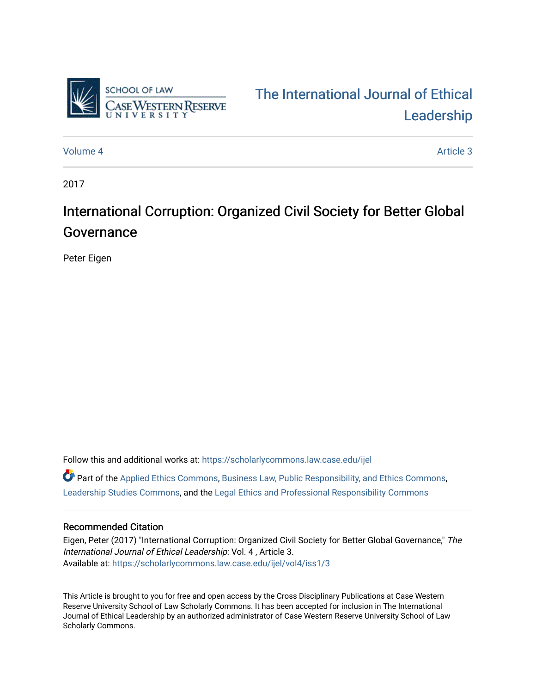

# [The International Journal of Ethical](https://scholarlycommons.law.case.edu/ijel)  [Leadership](https://scholarlycommons.law.case.edu/ijel)

[Volume 4](https://scholarlycommons.law.case.edu/ijel/vol4) Article 3

2017

# International Corruption: Organized Civil Society for Better Global Governance

Peter Eigen

Follow this and additional works at: [https://scholarlycommons.law.case.edu/ijel](https://scholarlycommons.law.case.edu/ijel?utm_source=scholarlycommons.law.case.edu%2Fijel%2Fvol4%2Fiss1%2F3&utm_medium=PDF&utm_campaign=PDFCoverPages)   $\bullet$  Part of the [Applied Ethics Commons](http://network.bepress.com/hgg/discipline/1392?utm_source=scholarlycommons.law.case.edu%2Fijel%2Fvol4%2Fiss1%2F3&utm_medium=PDF&utm_campaign=PDFCoverPages), [Business Law, Public Responsibility, and Ethics Commons](http://network.bepress.com/hgg/discipline/628?utm_source=scholarlycommons.law.case.edu%2Fijel%2Fvol4%2Fiss1%2F3&utm_medium=PDF&utm_campaign=PDFCoverPages), [Leadership Studies Commons](http://network.bepress.com/hgg/discipline/1250?utm_source=scholarlycommons.law.case.edu%2Fijel%2Fvol4%2Fiss1%2F3&utm_medium=PDF&utm_campaign=PDFCoverPages), and the [Legal Ethics and Professional Responsibility Commons](http://network.bepress.com/hgg/discipline/895?utm_source=scholarlycommons.law.case.edu%2Fijel%2Fvol4%2Fiss1%2F3&utm_medium=PDF&utm_campaign=PDFCoverPages) 

## Recommended Citation

Eigen, Peter (2017) "International Corruption: Organized Civil Society for Better Global Governance," The International Journal of Ethical Leadership: Vol. 4 , Article 3. Available at: [https://scholarlycommons.law.case.edu/ijel/vol4/iss1/3](https://scholarlycommons.law.case.edu/ijel/vol4/iss1/3?utm_source=scholarlycommons.law.case.edu%2Fijel%2Fvol4%2Fiss1%2F3&utm_medium=PDF&utm_campaign=PDFCoverPages)

This Article is brought to you for free and open access by the Cross Disciplinary Publications at Case Western Reserve University School of Law Scholarly Commons. It has been accepted for inclusion in The International Journal of Ethical Leadership by an authorized administrator of Case Western Reserve University School of Law Scholarly Commons.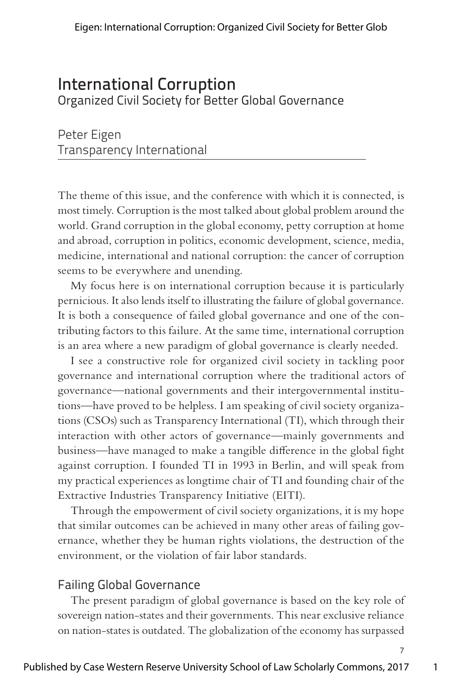# International Corruption

Organized Civil Society for Better Global Governance

Peter Eigen Transparency International

The theme of this issue, and the conference with which it is connected, is most timely. Corruption is the most talked about global problem around the world. Grand corruption in the global economy, petty corruption at home and abroad, corruption in politics, economic development, science, media, medicine, international and national corruption: the cancer of corruption seems to be everywhere and unending.

My focus here is on international corruption because it is particularly pernicious. It also lends itself to illustrating the failure of global governance. It is both a consequence of failed global governance and one of the contributing factors to this failure. At the same time, international corruption is an area where a new paradigm of global governance is clearly needed.

I see a constructive role for organized civil society in tackling poor governance and international corruption where the traditional actors of governance—national governments and their intergovernmental institutions—have proved to be helpless. I am speaking of civil society organizations (CSOs) such as Transparency International (TI), which through their interaction with other actors of governance—mainly governments and business—have managed to make a tangible difference in the global fight against corruption. I founded TI in 1993 in Berlin, and will speak from my practical experiences as longtime chair of TI and founding chair of the Extractive Industries Transparency Initiative (EITI).

Through the empowerment of civil society organizations, it is my hope that similar outcomes can be achieved in many other areas of failing governance, whether they be human rights violations, the destruction of the environment, or the violation of fair labor standards.

# Failing Global Governance

The present paradigm of global governance is based on the key role of sovereign nation-states and their governments. This near exclusive reliance on nation-states is outdated. The globalization of the economy has surpassed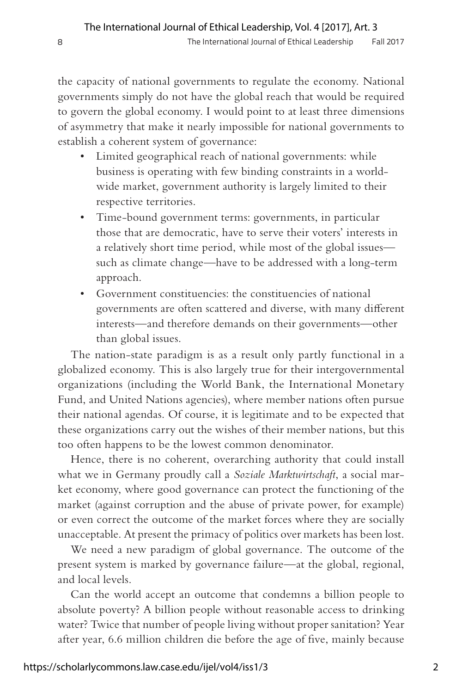the capacity of national governments to regulate the economy. National governments simply do not have the global reach that would be required to govern the global economy. I would point to at least three dimensions of asymmetry that make it nearly impossible for national governments to establish a coherent system of governance:

- Limited geographical reach of national governments: while business is operating with few binding constraints in a worldwide market, government authority is largely limited to their respective territories.
- Time-bound government terms: governments, in particular those that are democratic, have to serve their voters' interests in a relatively short time period, while most of the global issues such as climate change—have to be addressed with a long-term approach.
- Government constituencies: the constituencies of national governments are often scattered and diverse, with many different interests—and therefore demands on their governments—other than global issues.

The nation-state paradigm is as a result only partly functional in a globalized economy. This is also largely true for their intergovernmental organizations (including the World Bank, the International Monetary Fund, and United Nations agencies), where member nations often pursue their national agendas. Of course, it is legitimate and to be expected that these organizations carry out the wishes of their member nations, but this too often happens to be the lowest common denominator.

Hence, there is no coherent, overarching authority that could install what we in Germany proudly call a *Soziale Marktwirtschaft*, a social market economy, where good governance can protect the functioning of the market (against corruption and the abuse of private power, for example) or even correct the outcome of the market forces where they are socially unacceptable. At present the primacy of politics over markets has been lost.

We need a new paradigm of global governance. The outcome of the present system is marked by governance failure—at the global, regional, and local levels.

Can the world accept an outcome that condemns a billion people to absolute poverty? A billion people without reasonable access to drinking water? Twice that number of people living without proper sanitation? Year after year, 6.6 million children die before the age of five, mainly because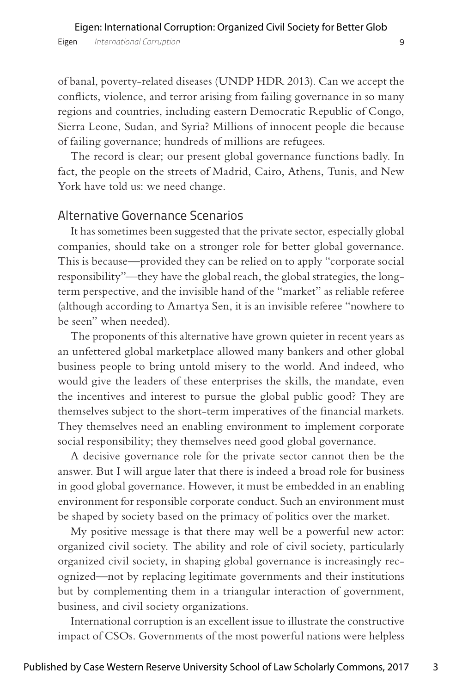of banal, poverty-related diseases (UNDP HDR 2013). Can we accept the conflicts, violence, and terror arising from failing governance in so many regions and countries, including eastern Democratic Republic of Congo, Sierra Leone, Sudan, and Syria? Millions of innocent people die because of failing governance; hundreds of millions are refugees.

The record is clear; our present global governance functions badly. In fact, the people on the streets of Madrid, Cairo, Athens, Tunis, and New York have told us: we need change.

#### Alternative Governance Scenarios

It has sometimes been suggested that the private sector, especially global companies, should take on a stronger role for better global governance. This is because—provided they can be relied on to apply "corporate social responsibility"—they have the global reach, the global strategies, the longterm perspective, and the invisible hand of the "market" as reliable referee (although according to Amartya Sen, it is an invisible referee "nowhere to be seen" when needed).

The proponents of this alternative have grown quieter in recent years as an unfettered global marketplace allowed many bankers and other global business people to bring untold misery to the world. And indeed, who would give the leaders of these enterprises the skills, the mandate, even the incentives and interest to pursue the global public good? They are themselves subject to the short-term imperatives of the financial markets. They themselves need an enabling environment to implement corporate social responsibility; they themselves need good global governance.

A decisive governance role for the private sector cannot then be the answer. But I will argue later that there is indeed a broad role for business in good global governance. However, it must be embedded in an enabling environment for responsible corporate conduct. Such an environment must be shaped by society based on the primacy of politics over the market.

My positive message is that there may well be a powerful new actor: organized civil society. The ability and role of civil society, particularly organized civil society, in shaping global governance is increasingly recognized—not by replacing legitimate governments and their institutions but by complementing them in a triangular interaction of government, business, and civil society organizations.

International corruption is an excellent issue to illustrate the constructive impact of CSOs. Governments of the most powerful nations were helpless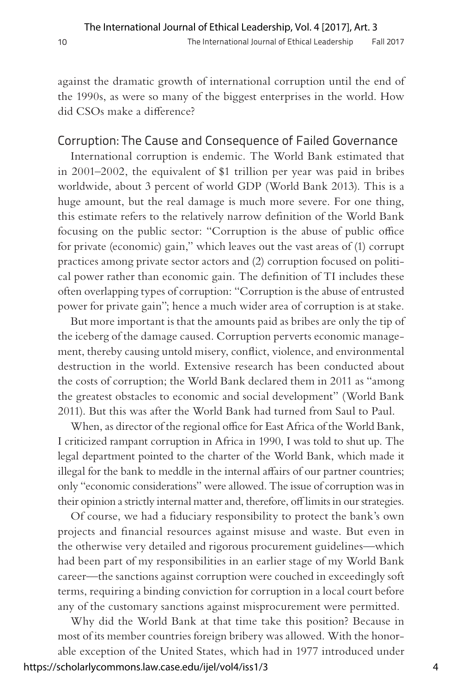against the dramatic growth of international corruption until the end of the 1990s, as were so many of the biggest enterprises in the world. How did CSOs make a difference?

## Corruption: The Cause and Consequence of Failed Governance

International corruption is endemic. The World Bank estimated that in 2001–2002, the equivalent of \$1 trillion per year was paid in bribes worldwide, about 3 percent of world GDP (World Bank 2013). This is a huge amount, but the real damage is much more severe. For one thing, this estimate refers to the relatively narrow definition of the World Bank focusing on the public sector: "Corruption is the abuse of public office for private (economic) gain," which leaves out the vast areas of (1) corrupt practices among private sector actors and (2) corruption focused on political power rather than economic gain. The definition of TI includes these often overlapping types of corruption: "Corruption is the abuse of entrusted power for private gain"; hence a much wider area of corruption is at stake.

But more important is that the amounts paid as bribes are only the tip of the iceberg of the damage caused. Corruption perverts economic management, thereby causing untold misery, conflict, violence, and environmental destruction in the world. Extensive research has been conducted about the costs of corruption; the World Bank declared them in 2011 as "among the greatest obstacles to economic and social development" (World Bank 2011). But this was after the World Bank had turned from Saul to Paul.

When, as director of the regional office for East Africa of the World Bank, I criticized rampant corruption in Africa in 1990, I was told to shut up. The legal department pointed to the charter of the World Bank, which made it illegal for the bank to meddle in the internal affairs of our partner countries; only "economic considerations" were allowed. The issue of corruption was in their opinion a strictly internal matter and, therefore, off limits in our strategies.

Of course, we had a fiduciary responsibility to protect the bank's own projects and financial resources against misuse and waste. But even in the otherwise very detailed and rigorous procurement guidelines—which had been part of my responsibilities in an earlier stage of my World Bank career—the sanctions against corruption were couched in exceedingly soft terms, requiring a binding conviction for corruption in a local court before any of the customary sanctions against misprocurement were permitted.

Why did the World Bank at that time take this position? Because in most of its member countries foreign bribery was allowed. With the honorable exception of the United States, which had in 1977 introduced under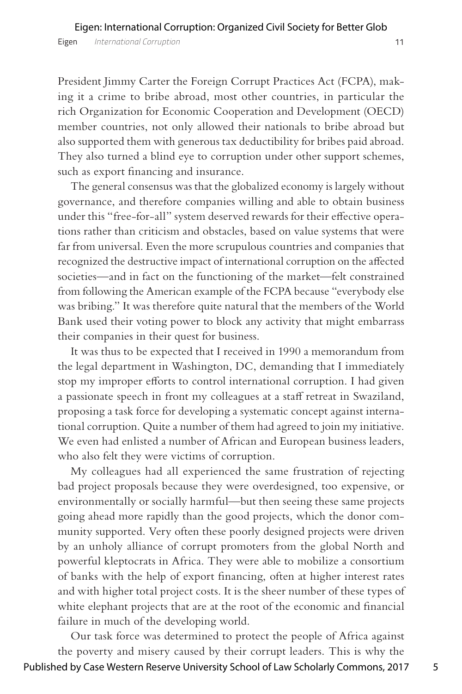President Jimmy Carter the Foreign Corrupt Practices Act (FCPA), making it a crime to bribe abroad, most other countries, in particular the rich Organization for Economic Cooperation and Development (OECD) member countries, not only allowed their nationals to bribe abroad but also supported them with generous tax deductibility for bribes paid abroad. They also turned a blind eye to corruption under other support schemes, such as export financing and insurance.

The general consensus was that the globalized economy is largely without governance, and therefore companies willing and able to obtain business under this "free-for-all" system deserved rewards for their effective operations rather than criticism and obstacles, based on value systems that were far from universal. Even the more scrupulous countries and companies that recognized the destructive impact of international corruption on the affected societies—and in fact on the functioning of the market—felt constrained from following the American example of the FCPA because "everybody else was bribing." It was therefore quite natural that the members of the World Bank used their voting power to block any activity that might embarrass their companies in their quest for business.

It was thus to be expected that I received in 1990 a memorandum from the legal department in Washington, DC, demanding that I immediately stop my improper efforts to control international corruption. I had given a passionate speech in front my colleagues at a staff retreat in Swaziland, proposing a task force for developing a systematic concept against international corruption. Quite a number of them had agreed to join my initiative. We even had enlisted a number of African and European business leaders, who also felt they were victims of corruption.

My colleagues had all experienced the same frustration of rejecting bad project proposals because they were overdesigned, too expensive, or environmentally or socially harmful—but then seeing these same projects going ahead more rapidly than the good projects, which the donor community supported. Very often these poorly designed projects were driven by an unholy alliance of corrupt promoters from the global North and powerful kleptocrats in Africa. They were able to mobilize a consortium of banks with the help of export financing, often at higher interest rates and with higher total project costs. It is the sheer number of these types of white elephant projects that are at the root of the economic and financial failure in much of the developing world.

Our task force was determined to protect the people of Africa against the poverty and misery caused by their corrupt leaders. This is why the Published by Case Western Reserve University School of Law Scholarly Commons, 2017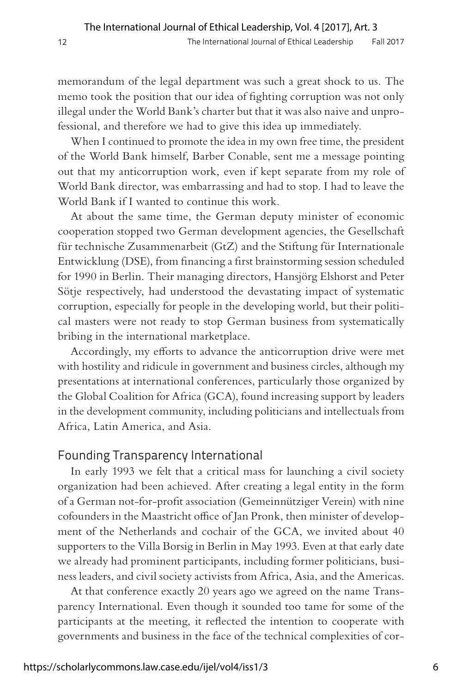memorandum of the legal department was such a great shock to us. The memo took the position that our idea of fighting corruption was not only illegal under the World Bank's charter but that it was also naive and unprofessional, and therefore we had to give this idea up immediately.

When I continued to promote the idea in my own free time, the president of the World Bank himself, Barber Conable, sent me a message pointing out that my anticorruption work, even if kept separate from my role of World Bank director, was embarrassing and had to stop. I had to leave the World Bank if I wanted to continue this work.

At about the same time, the German deputy minister of economic cooperation stopped two German development agencies, the Gesellschaft für technische Zusammenarbeit (GtZ) and the Stiftung für Internationale Entwicklung (DSE), from financing a first brainstorming session scheduled for 1990 in Berlin. Their managing directors, Hansjörg Elshorst and Peter Sötje respectively, had understood the devastating impact of systematic corruption, especially for people in the developing world, but their political masters were not ready to stop German business from systematically bribing in the international marketplace.

Accordingly, my efforts to advance the anticorruption drive were met with hostility and ridicule in government and business circles, although my presentations at international conferences, particularly those organized by the Global Coalition for Africa (GCA), found increasing support by leaders in the development community, including politicians and intellectuals from Africa, Latin America, and Asia.

#### Founding Transparency International

In early 1993 we felt that a critical mass for launching a civil society organization had been achieved. After creating a legal entity in the form of a German not-for-profit association (Gemeinnütziger Verein) with nine cofounders in the Maastricht office of Jan Pronk, then minister of development of the Netherlands and cochair of the GCA, we invited about 40 supporters to the Villa Borsig in Berlin in May 1993. Even at that early date we already had prominent participants, including former politicians, business leaders, and civil society activists from Africa, Asia, and the Americas.

At that conference exactly 20 years ago we agreed on the name Transparency International. Even though it sounded too tame for some of the participants at the meeting, it reflected the intention to cooperate with governments and business in the face of the technical complexities of cor-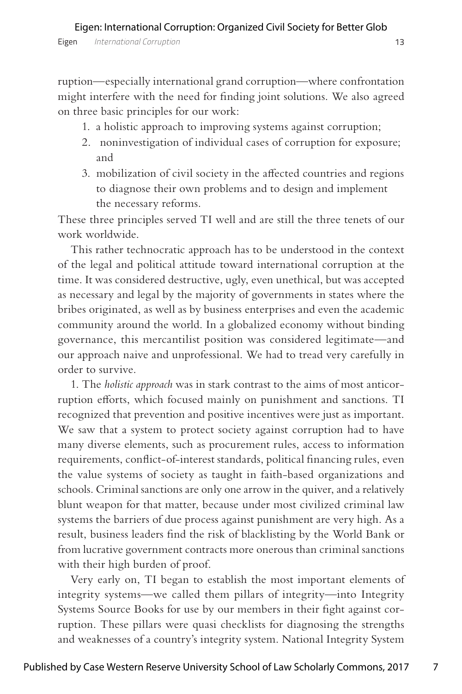ruption—especially international grand corruption—where confrontation might interfere with the need for finding joint solutions. We also agreed on three basic principles for our work:

- 1. a holistic approach to improving systems against corruption;
- 2. noninvestigation of individual cases of corruption for exposure; and
- 3. mobilization of civil society in the affected countries and regions to diagnose their own problems and to design and implement the necessary reforms.

These three principles served TI well and are still the three tenets of our work worldwide.

This rather technocratic approach has to be understood in the context of the legal and political attitude toward international corruption at the time. It was considered destructive, ugly, even unethical, but was accepted as necessary and legal by the majority of governments in states where the bribes originated, as well as by business enterprises and even the academic community around the world. In a globalized economy without binding governance, this mercantilist position was considered legitimate—and our approach naive and unprofessional. We had to tread very carefully in order to survive.

1. The *holistic approach* was in stark contrast to the aims of most anticorruption efforts, which focused mainly on punishment and sanctions. TI recognized that prevention and positive incentives were just as important. We saw that a system to protect society against corruption had to have many diverse elements, such as procurement rules, access to information requirements, conflict-of-interest standards, political financing rules, even the value systems of society as taught in faith-based organizations and schools. Criminal sanctions are only one arrow in the quiver, and a relatively blunt weapon for that matter, because under most civilized criminal law systems the barriers of due process against punishment are very high. As a result, business leaders find the risk of blacklisting by the World Bank or from lucrative government contracts more onerous than criminal sanctions with their high burden of proof.

Very early on, TI began to establish the most important elements of integrity systems—we called them pillars of integrity—into Integrity Systems Source Books for use by our members in their fight against corruption. These pillars were quasi checklists for diagnosing the strengths and weaknesses of a country's integrity system. National Integrity System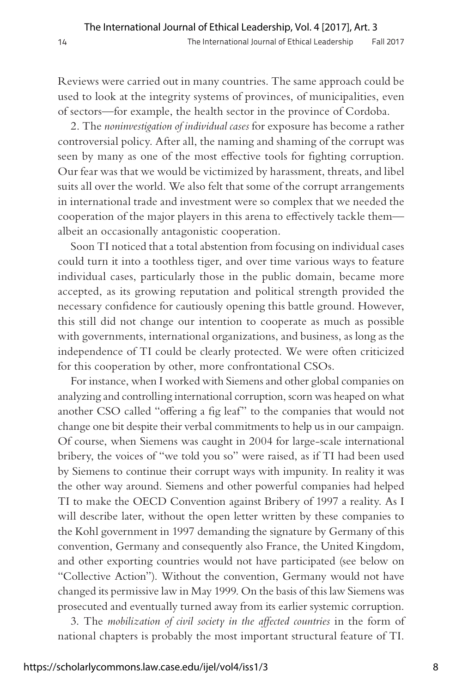Reviews were carried out in many countries. The same approach could be used to look at the integrity systems of provinces, of municipalities, even of sectors—for example, the health sector in the province of Cordoba.

2. The *noninvestigation of individual cases* for exposure has become a rather controversial policy. After all, the naming and shaming of the corrupt was seen by many as one of the most effective tools for fighting corruption. Our fear was that we would be victimized by harassment, threats, and libel suits all over the world. We also felt that some of the corrupt arrangements in international trade and investment were so complex that we needed the cooperation of the major players in this arena to effectively tackle them albeit an occasionally antagonistic cooperation.

Soon TI noticed that a total abstention from focusing on individual cases could turn it into a toothless tiger, and over time various ways to feature individual cases, particularly those in the public domain, became more accepted, as its growing reputation and political strength provided the necessary confidence for cautiously opening this battle ground. However, this still did not change our intention to cooperate as much as possible with governments, international organizations, and business, as long as the independence of TI could be clearly protected. We were often criticized for this cooperation by other, more confrontational CSOs.

For instance, when I worked with Siemens and other global companies on analyzing and controlling international corruption, scorn was heaped on what another CSO called "offering a fig leaf" to the companies that would not change one bit despite their verbal commitments to help us in our campaign. Of course, when Siemens was caught in 2004 for large-scale international bribery, the voices of "we told you so" were raised, as if TI had been used by Siemens to continue their corrupt ways with impunity. In reality it was the other way around. Siemens and other powerful companies had helped TI to make the OECD Convention against Bribery of 1997 a reality. As I will describe later, without the open letter written by these companies to the Kohl government in 1997 demanding the signature by Germany of this convention, Germany and consequently also France, the United Kingdom, and other exporting countries would not have participated (see below on "Collective Action"). Without the convention, Germany would not have changed its permissive law in May 1999. On the basis of this law Siemens was prosecuted and eventually turned away from its earlier systemic corruption.

3. The *mobilization of civil society in the affected countries* in the form of national chapters is probably the most important structural feature of TI.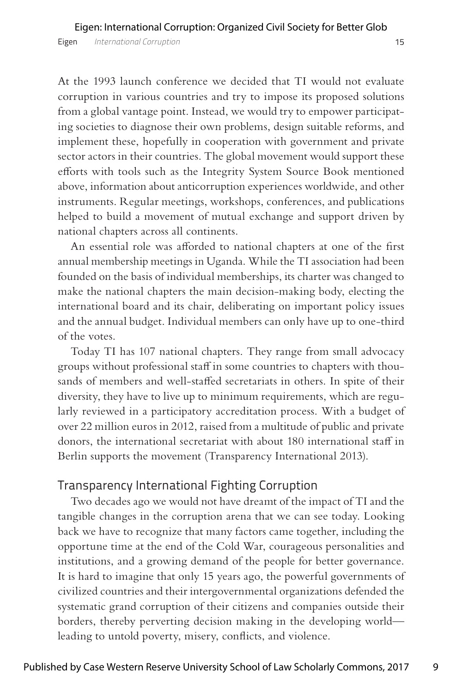At the 1993 launch conference we decided that TI would not evaluate corruption in various countries and try to impose its proposed solutions from a global vantage point. Instead, we would try to empower participating societies to diagnose their own problems, design suitable reforms, and implement these, hopefully in cooperation with government and private sector actors in their countries. The global movement would support these efforts with tools such as the Integrity System Source Book mentioned above, information about anticorruption experiences worldwide, and other instruments. Regular meetings, workshops, conferences, and publications helped to build a movement of mutual exchange and support driven by national chapters across all continents.

An essential role was afforded to national chapters at one of the first annual membership meetings in Uganda. While the TI association had been founded on the basis of individual memberships, its charter was changed to make the national chapters the main decision-making body, electing the international board and its chair, deliberating on important policy issues and the annual budget. Individual members can only have up to one-third of the votes.

Today TI has 107 national chapters. They range from small advocacy groups without professional staff in some countries to chapters with thousands of members and well-staffed secretariats in others. In spite of their diversity, they have to live up to minimum requirements, which are regularly reviewed in a participatory accreditation process. With a budget of over 22 million euros in 2012, raised from a multitude of public and private donors, the international secretariat with about 180 international staff in Berlin supports the movement (Transparency International 2013).

#### Transparency International Fighting Corruption

Two decades ago we would not have dreamt of the impact of TI and the tangible changes in the corruption arena that we can see today. Looking back we have to recognize that many factors came together, including the opportune time at the end of the Cold War, courageous personalities and institutions, and a growing demand of the people for better governance. It is hard to imagine that only 15 years ago, the powerful governments of civilized countries and their intergovernmental organizations defended the systematic grand corruption of their citizens and companies outside their borders, thereby perverting decision making in the developing world leading to untold poverty, misery, conflicts, and violence.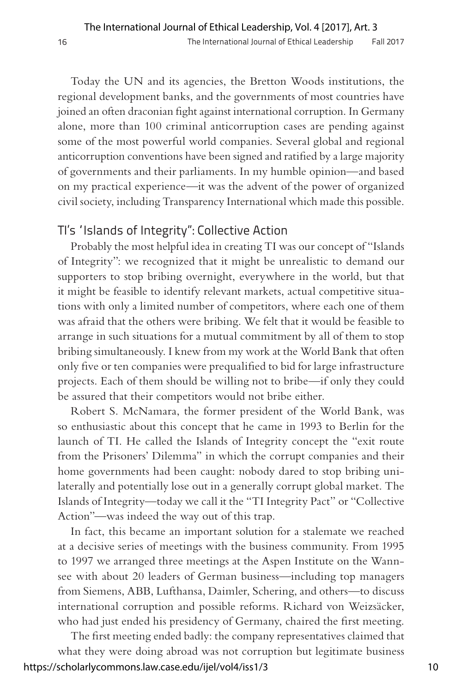Today the UN and its agencies, the Bretton Woods institutions, the regional development banks, and the governments of most countries have joined an often draconian fight against international corruption. In Germany alone, more than 100 criminal anticorruption cases are pending against some of the most powerful world companies. Several global and regional anticorruption conventions have been signed and ratified by a large majority of governments and their parliaments. In my humble opinion—and based on my practical experience—it was the advent of the power of organized civil society, including Transparency International which made this possible.

## TI's "Islands of Integrity": Collective Action

Probably the most helpful idea in creating TI was our concept of "Islands of Integrity": we recognized that it might be unrealistic to demand our supporters to stop bribing overnight, everywhere in the world, but that it might be feasible to identify relevant markets, actual competitive situations with only a limited number of competitors, where each one of them was afraid that the others were bribing. We felt that it would be feasible to arrange in such situations for a mutual commitment by all of them to stop bribing simultaneously. I knew from my work at the World Bank that often only five or ten companies were prequalified to bid for large infrastructure projects. Each of them should be willing not to bribe—if only they could be assured that their competitors would not bribe either.

Robert S. McNamara, the former president of the World Bank, was so enthusiastic about this concept that he came in 1993 to Berlin for the launch of TI. He called the Islands of Integrity concept the "exit route from the Prisoners' Dilemma" in which the corrupt companies and their home governments had been caught: nobody dared to stop bribing unilaterally and potentially lose out in a generally corrupt global market. The Islands of Integrity—today we call it the "TI Integrity Pact" or "Collective Action"—was indeed the way out of this trap.

In fact, this became an important solution for a stalemate we reached at a decisive series of meetings with the business community. From 1995 to 1997 we arranged three meetings at the Aspen Institute on the Wannsee with about 20 leaders of German business—including top managers from Siemens, ABB, Lufthansa, Daimler, Schering, and others—to discuss international corruption and possible reforms. Richard von Weizsäcker, who had just ended his presidency of Germany, chaired the first meeting.

The first meeting ended badly: the company representatives claimed that what they were doing abroad was not corruption but legitimate business https://scholarlycommons.law.case.edu/ijel/vol4/iss1/3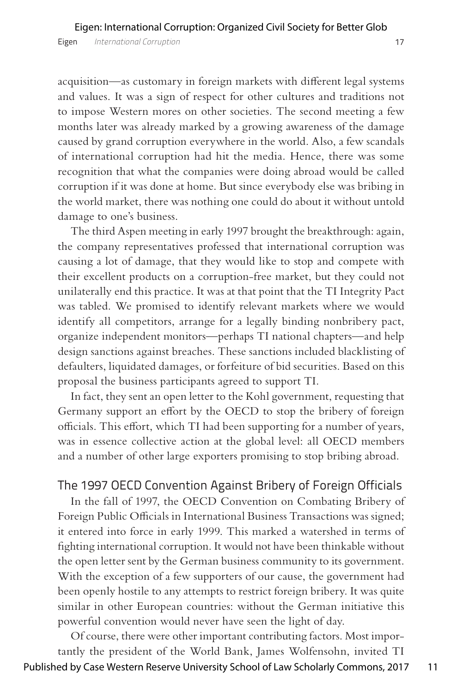acquisition—as customary in foreign markets with different legal systems and values. It was a sign of respect for other cultures and traditions not to impose Western mores on other societies. The second meeting a few months later was already marked by a growing awareness of the damage caused by grand corruption everywhere in the world. Also, a few scandals of international corruption had hit the media. Hence, there was some recognition that what the companies were doing abroad would be called corruption if it was done at home. But since everybody else was bribing in the world market, there was nothing one could do about it without untold damage to one's business.

The third Aspen meeting in early 1997 brought the breakthrough: again, the company representatives professed that international corruption was causing a lot of damage, that they would like to stop and compete with their excellent products on a corruption-free market, but they could not unilaterally end this practice. It was at that point that the TI Integrity Pact was tabled. We promised to identify relevant markets where we would identify all competitors, arrange for a legally binding nonbribery pact, organize independent monitors—perhaps TI national chapters—and help design sanctions against breaches. These sanctions included blacklisting of defaulters, liquidated damages, or forfeiture of bid securities. Based on this proposal the business participants agreed to support TI.

In fact, they sent an open letter to the Kohl government, requesting that Germany support an effort by the OECD to stop the bribery of foreign officials. This effort, which TI had been supporting for a number of years, was in essence collective action at the global level: all OECD members and a number of other large exporters promising to stop bribing abroad.

#### The 1997 OECD Convention Against Bribery of Foreign Officials

In the fall of 1997, the OECD Convention on Combating Bribery of Foreign Public Officials in International Business Transactions was signed; it entered into force in early 1999. This marked a watershed in terms of fighting international corruption. It would not have been thinkable without the open letter sent by the German business community to its government. With the exception of a few supporters of our cause, the government had been openly hostile to any attempts to restrict foreign bribery. It was quite similar in other European countries: without the German initiative this powerful convention would never have seen the light of day.

Of course, there were other important contributing factors. Most importantly the president of the World Bank, James Wolfensohn, invited TI Published by Case Western Reserve University School of Law Scholarly Commons, 2017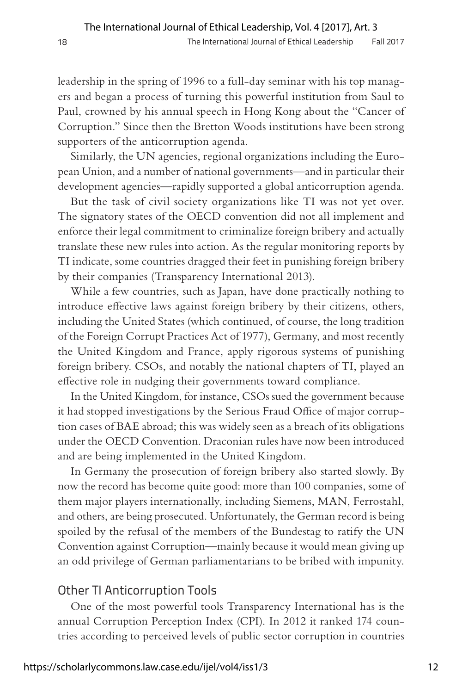leadership in the spring of 1996 to a full-day seminar with his top managers and began a process of turning this powerful institution from Saul to Paul, crowned by his annual speech in Hong Kong about the "Cancer of Corruption." Since then the Bretton Woods institutions have been strong supporters of the anticorruption agenda.

Similarly, the UN agencies, regional organizations including the European Union, and a number of national governments—and in particular their development agencies—rapidly supported a global anticorruption agenda.

But the task of civil society organizations like TI was not yet over. The signatory states of the OECD convention did not all implement and enforce their legal commitment to criminalize foreign bribery and actually translate these new rules into action. As the regular monitoring reports by TI indicate, some countries dragged their feet in punishing foreign bribery by their companies (Transparency International 2013).

While a few countries, such as Japan, have done practically nothing to introduce effective laws against foreign bribery by their citizens, others, including the United States (which continued, of course, the long tradition of the Foreign Corrupt Practices Act of 1977), Germany, and most recently the United Kingdom and France, apply rigorous systems of punishing foreign bribery. CSOs, and notably the national chapters of TI, played an effective role in nudging their governments toward compliance.

In the United Kingdom, for instance, CSOs sued the government because it had stopped investigations by the Serious Fraud Office of major corruption cases of BAE abroad; this was widely seen as a breach of its obligations under the OECD Convention. Draconian rules have now been introduced and are being implemented in the United Kingdom.

In Germany the prosecution of foreign bribery also started slowly. By now the record has become quite good: more than 100 companies, some of them major players internationally, including Siemens, MAN, Ferrostahl, and others, are being prosecuted. Unfortunately, the German record is being spoiled by the refusal of the members of the Bundestag to ratify the UN Convention against Corruption—mainly because it would mean giving up an odd privilege of German parliamentarians to be bribed with impunity.

#### Other TI Anticorruption Tools

One of the most powerful tools Transparency International has is the annual Corruption Perception Index (CPI). In 2012 it ranked 174 countries according to perceived levels of public sector corruption in countries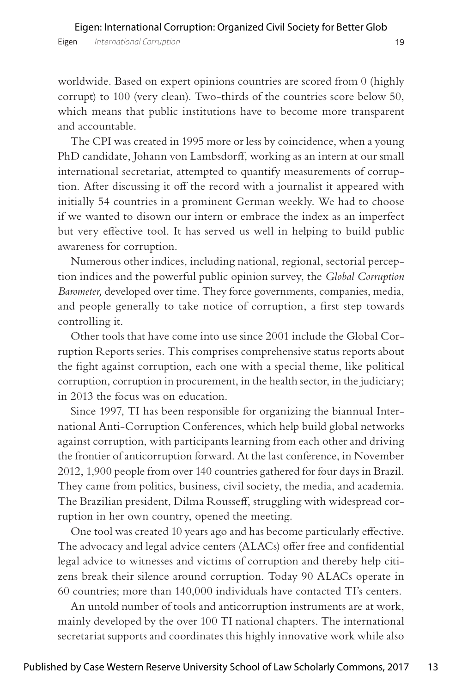worldwide. Based on expert opinions countries are scored from 0 (highly corrupt) to 100 (very clean). Two-thirds of the countries score below 50, which means that public institutions have to become more transparent and accountable.

The CPI was created in 1995 more or less by coincidence, when a young PhD candidate, Johann von Lambsdorff, working as an intern at our small international secretariat, attempted to quantify measurements of corruption. After discussing it off the record with a journalist it appeared with initially 54 countries in a prominent German weekly. We had to choose if we wanted to disown our intern or embrace the index as an imperfect but very effective tool. It has served us well in helping to build public awareness for corruption.

Numerous other indices, including national, regional, sectorial perception indices and the powerful public opinion survey, the *Global Corruption Barometer,* developed over time. They force governments, companies, media, and people generally to take notice of corruption, a first step towards controlling it.

Other tools that have come into use since 2001 include the Global Corruption Reports series. This comprises comprehensive status reports about the fight against corruption, each one with a special theme, like political corruption, corruption in procurement, in the health sector, in the judiciary; in 2013 the focus was on education.

Since 1997, TI has been responsible for organizing the biannual International Anti-Corruption Conferences, which help build global networks against corruption, with participants learning from each other and driving the frontier of anticorruption forward. At the last conference, in November 2012, 1,900 people from over 140 countries gathered for four days in Brazil. They came from politics, business, civil society, the media, and academia. The Brazilian president, Dilma Rousseff, struggling with widespread corruption in her own country, opened the meeting.

One tool was created 10 years ago and has become particularly effective. The advocacy and legal advice centers (ALACs) offer free and confidential legal advice to witnesses and victims of corruption and thereby help citizens break their silence around corruption. Today 90 ALACs operate in 60 countries; more than 140,000 individuals have contacted TI's centers.

An untold number of tools and anticorruption instruments are at work, mainly developed by the over 100 TI national chapters. The international secretariat supports and coordinates this highly innovative work while also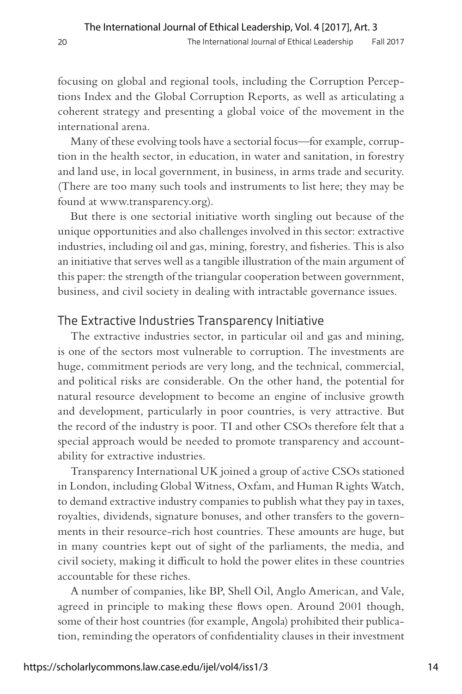focusing on global and regional tools, including the Corruption Perceptions Index and the Global Corruption Reports, as well as articulating a coherent strategy and presenting a global voice of the movement in the international arena.

Many of these evolving tools have a sectorial focus—for example, corruption in the health sector, in education, in water and sanitation, in forestry and land use, in local government, in business, in arms trade and security. (There are too many such tools and instruments to list here; they may be found at www.transparency.org).

But there is one sectorial initiative worth singling out because of the unique opportunities and also challenges involved in this sector: extractive industries, including oil and gas, mining, forestry, and fisheries. This is also an initiative that serves well as a tangible illustration of the main argument of this paper: the strength of the triangular cooperation between government, business, and civil society in dealing with intractable governance issues.

#### The Extractive Industries Transparency Initiative

The extractive industries sector, in particular oil and gas and mining, is one of the sectors most vulnerable to corruption. The investments are huge, commitment periods are very long, and the technical, commercial, and political risks are considerable. On the other hand, the potential for natural resource development to become an engine of inclusive growth and development, particularly in poor countries, is very attractive. But the record of the industry is poor. TI and other CSOs therefore felt that a special approach would be needed to promote transparency and accountability for extractive industries.

Transparency International UK joined a group of active CSOs stationed in London, including Global Witness, Oxfam, and Human Rights Watch, to demand extractive industry companies to publish what they pay in taxes, royalties, dividends, signature bonuses, and other transfers to the governments in their resource-rich host countries. These amounts are huge, but in many countries kept out of sight of the parliaments, the media, and civil society, making it difficult to hold the power elites in these countries accountable for these riches.

A number of companies, like BP, Shell Oil, Anglo American, and Vale, agreed in principle to making these flows open. Around 2001 though, some of their host countries (for example, Angola) prohibited their publication, reminding the operators of confidentiality clauses in their investment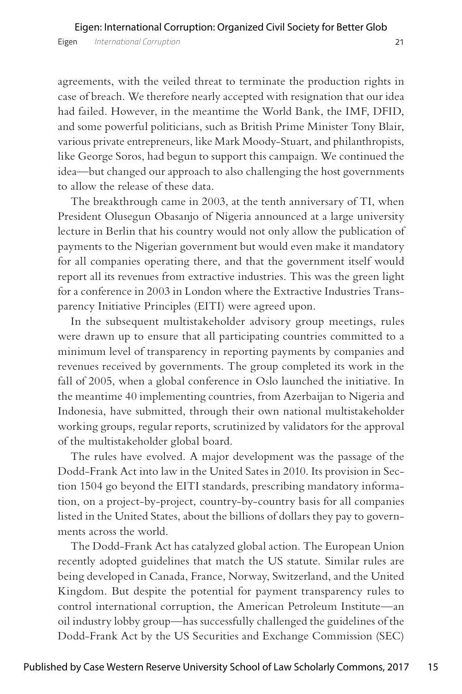agreements, with the veiled threat to terminate the production rights in case of breach. We therefore nearly accepted with resignation that our idea had failed. However, in the meantime the World Bank, the IMF, DFID, and some powerful politicians, such as British Prime Minister Tony Blair, various private entrepreneurs, like Mark Moody-Stuart, and philanthropists, like George Soros, had begun to support this campaign. We continued the idea—but changed our approach to also challenging the host governments to allow the release of these data.

The breakthrough came in 2003, at the tenth anniversary of TI, when President Olusegun Obasanjo of Nigeria announced at a large university lecture in Berlin that his country would not only allow the publication of payments to the Nigerian government but would even make it mandatory for all companies operating there, and that the government itself would report all its revenues from extractive industries. This was the green light for a conference in 2003 in London where the Extractive Industries Transparency Initiative Principles (EITI) were agreed upon.

In the subsequent multistakeholder advisory group meetings, rules were drawn up to ensure that all participating countries committed to a minimum level of transparency in reporting payments by companies and revenues received by governments. The group completed its work in the fall of 2005, when a global conference in Oslo launched the initiative. In the meantime 40 implementing countries, from Azerbaijan to Nigeria and Indonesia, have submitted, through their own national multistakeholder working groups, regular reports, scrutinized by validators for the approval of the multistakeholder global board.

The rules have evolved. A major development was the passage of the Dodd-Frank Act into law in the United Sates in 2010. Its provision in Section 1504 go beyond the EITI standards, prescribing mandatory information, on a project-by-project, country-by-country basis for all companies listed in the United States, about the billions of dollars they pay to governments across the world.

The Dodd-Frank Act has catalyzed global action. The European Union recently adopted guidelines that match the US statute. Similar rules are being developed in Canada, France, Norway, Switzerland, and the United Kingdom. But despite the potential for payment transparency rules to control international corruption, the American Petroleum Institute—an oil industry lobby group—has successfully challenged the guidelines of the Dodd-Frank Act by the US Securities and Exchange Commission (SEC)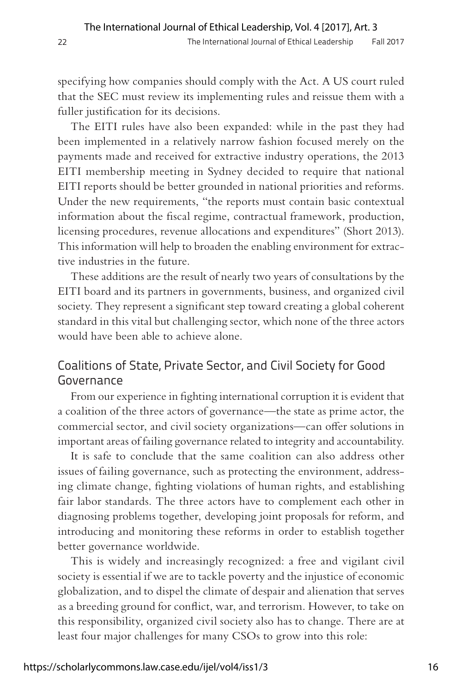specifying how companies should comply with the Act. A US court ruled that the SEC must review its implementing rules and reissue them with a fuller justification for its decisions.

The EITI rules have also been expanded: while in the past they had been implemented in a relatively narrow fashion focused merely on the payments made and received for extractive industry operations, the 2013 EITI membership meeting in Sydney decided to require that national EITI reports should be better grounded in national priorities and reforms. Under the new requirements, "the reports must contain basic contextual information about the fiscal regime, contractual framework, production, licensing procedures, revenue allocations and expenditures" (Short 2013). This information will help to broaden the enabling environment for extractive industries in the future.

These additions are the result of nearly two years of consultations by the EITI board and its partners in governments, business, and organized civil society. They represent a significant step toward creating a global coherent standard in this vital but challenging sector, which none of the three actors would have been able to achieve alone.

# Coalitions of State, Private Sector, and Civil Society for Good Governance

From our experience in fighting international corruption it is evident that a coalition of the three actors of governance—the state as prime actor, the commercial sector, and civil society organizations—can offer solutions in important areas of failing governance related to integrity and accountability.

It is safe to conclude that the same coalition can also address other issues of failing governance, such as protecting the environment, addressing climate change, fighting violations of human rights, and establishing fair labor standards. The three actors have to complement each other in diagnosing problems together, developing joint proposals for reform, and introducing and monitoring these reforms in order to establish together better governance worldwide.

This is widely and increasingly recognized: a free and vigilant civil society is essential if we are to tackle poverty and the injustice of economic globalization, and to dispel the climate of despair and alienation that serves as a breeding ground for conflict, war, and terrorism. However, to take on this responsibility, organized civil society also has to change. There are at least four major challenges for many CSOs to grow into this role: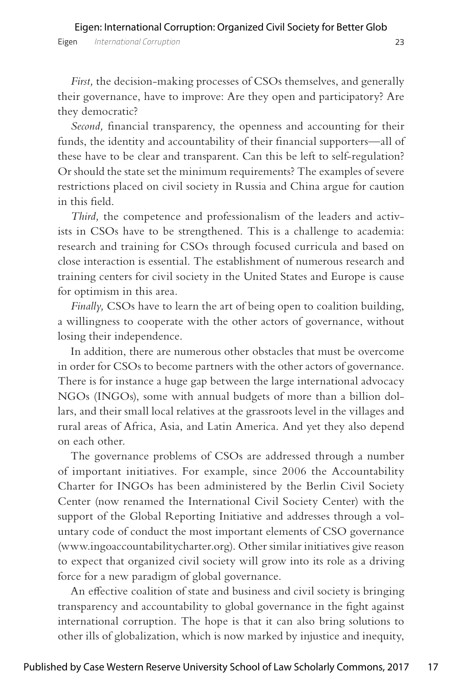*First,* the decision-making processes of CSOs themselves, and generally their governance, have to improve: Are they open and participatory? Are they democratic?

*Second,* financial transparency, the openness and accounting for their funds, the identity and accountability of their financial supporters—all of these have to be clear and transparent. Can this be left to self-regulation? Or should the state set the minimum requirements? The examples of severe restrictions placed on civil society in Russia and China argue for caution in this field.

*Third,* the competence and professionalism of the leaders and activists in CSOs have to be strengthened. This is a challenge to academia: research and training for CSOs through focused curricula and based on close interaction is essential. The establishment of numerous research and training centers for civil society in the United States and Europe is cause for optimism in this area.

*Finally,* CSOs have to learn the art of being open to coalition building, a willingness to cooperate with the other actors of governance, without losing their independence.

In addition, there are numerous other obstacles that must be overcome in order for CSOs to become partners with the other actors of governance. There is for instance a huge gap between the large international advocacy NGOs (INGOs), some with annual budgets of more than a billion dollars, and their small local relatives at the grassroots level in the villages and rural areas of Africa, Asia, and Latin America. And yet they also depend on each other.

The governance problems of CSOs are addressed through a number of important initiatives. For example, since 2006 the Accountability Charter for INGOs has been administered by the Berlin Civil Society Center (now renamed the International Civil Society Center) with the support of the Global Reporting Initiative and addresses through a voluntary code of conduct the most important elements of CSO governance (www.ingoaccountabilitycharter.org). Other similar initiatives give reason to expect that organized civil society will grow into its role as a driving force for a new paradigm of global governance.

An effective coalition of state and business and civil society is bringing transparency and accountability to global governance in the fight against international corruption. The hope is that it can also bring solutions to other ills of globalization, which is now marked by injustice and inequity,